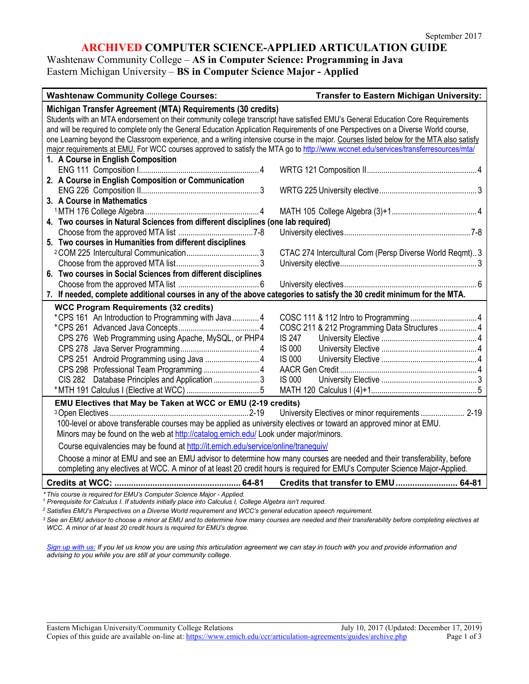## **ARCHIVED COMPUTER SCIENCE-APPLIED ARTICULATION GUIDE**

## Washtenaw Community College – **AS in Computer Science: Programming in Java** Eastern Michigan University – **BS in Computer Science Major - Applied**

| <b>Washtenaw Community College Courses:</b>                                                                                                                                        | <b>Transfer to Eastern Michigan University:</b>         |
|------------------------------------------------------------------------------------------------------------------------------------------------------------------------------------|---------------------------------------------------------|
| Michigan Transfer Agreement (MTA) Requirements (30 credits)                                                                                                                        |                                                         |
| Students with an MTA endorsement on their community college transcript have satisfied EMU's General Education Core Requirements                                                    |                                                         |
| and will be required to complete only the General Education Application Requirements of one Perspectives on a Diverse World course,                                                |                                                         |
| one Learning beyond the Classroom experience, and a writing intensive course in the major. Courses listed below for the MTA also satisfy                                           |                                                         |
| major requirements at EMU. For WCC courses approved to satisfy the MTA go to http://www.wccnet.edu/services/transferresources/mta/                                                 |                                                         |
| 1. A Course in English Composition                                                                                                                                                 |                                                         |
|                                                                                                                                                                                    |                                                         |
| 2. A Course in English Composition or Communication                                                                                                                                |                                                         |
|                                                                                                                                                                                    |                                                         |
| 3. A Course in Mathematics                                                                                                                                                         |                                                         |
|                                                                                                                                                                                    |                                                         |
| 4. Two courses in Natural Sciences from different disciplines (one lab required)                                                                                                   |                                                         |
|                                                                                                                                                                                    |                                                         |
| 5. Two courses in Humanities from different disciplines                                                                                                                            |                                                         |
|                                                                                                                                                                                    | CTAC 274 Intercultural Com (Persp Diverse World Reqmt)3 |
|                                                                                                                                                                                    |                                                         |
| 6. Two courses in Social Sciences from different disciplines                                                                                                                       |                                                         |
|                                                                                                                                                                                    |                                                         |
| 7. If needed, complete additional courses in any of the above categories to satisfy the 30 credit minimum for the MTA.                                                             |                                                         |
| <b>WCC Program Requirements (32 credits)</b>                                                                                                                                       |                                                         |
| *CPS 161 An Introduction to Programming with Java 4                                                                                                                                |                                                         |
|                                                                                                                                                                                    | COSC 211 & 212 Programming Data Structures  4           |
| CPS 276 Web Programming using Apache, MySQL, or PHP4                                                                                                                               | <b>IS 247</b>                                           |
|                                                                                                                                                                                    | IS 000                                                  |
| CPS 251 Android Programming using Java  4                                                                                                                                          | <b>IS 000</b>                                           |
|                                                                                                                                                                                    |                                                         |
|                                                                                                                                                                                    | <b>IS 000</b>                                           |
|                                                                                                                                                                                    |                                                         |
| EMU Electives that May be Taken at WCC or EMU (2-19 credits)                                                                                                                       |                                                         |
|                                                                                                                                                                                    | University Electives or minor requirements  2-19        |
| 100-level or above transferable courses may be applied as university electives or toward an approved minor at EMU.                                                                 |                                                         |
| Minors may be found on the web at http://catalog.emich.edu/ Look under major/minors.                                                                                               |                                                         |
| Course equivalencies may be found at http://it.emich.edu/service/online/tranequiv/                                                                                                 |                                                         |
| Choose a minor at EMU and see an EMU advisor to determine how many courses are needed and their transferability, before                                                            |                                                         |
| completing any electives at WCC. A minor of at least 20 credit hours is required for EMU's Computer Science Major-Applied.                                                         |                                                         |
|                                                                                                                                                                                    | Credits that transfer to EMU 64-81                      |
| * This course is required for EMU's Computer Science Major - Applied.<br>Prerequisite for Calculus I. If students initially place into Calculus I, College Algebra isn't required. |                                                         |

*<sup>2</sup> Satisfies EMU's Perspectives on a Diverse World requirement and WCC's general education speech requirement.*

*<sup>3</sup> See an EMU advisor to choose a minor at EMU and to determine how many courses are needed and their transferability before completing electives at WCC. A minor of at least 20 credit hours is required for EMU's degree.* 

*[Sign up with us:](https://www.emich.edu/ccr/articulation-agreements/signup.php) If you let us know you are using this articulation agreement we can stay in touch with you and provide information and advising to you while you are still at your community college.*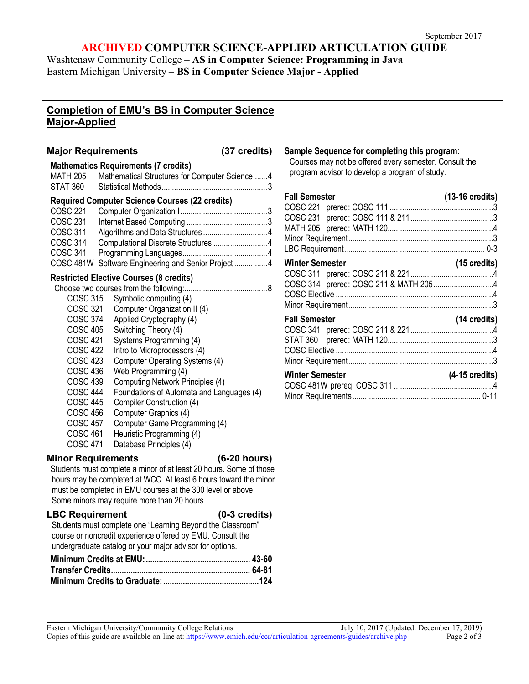# **ARCHIVED COMPUTER SCIENCE-APPLIED ARTICULATION GUIDE**

Washtenaw Community College – **AS in Computer Science: Programming in Java** Eastern Michigan University – **BS in Computer Science Major - Applied**

| <b>Completion of EMU's BS in Computer Science</b><br><b>Major-Applied</b>                                                                                                                                                                                                                                                                                                                                   |                                                                                                                                                          |
|-------------------------------------------------------------------------------------------------------------------------------------------------------------------------------------------------------------------------------------------------------------------------------------------------------------------------------------------------------------------------------------------------------------|----------------------------------------------------------------------------------------------------------------------------------------------------------|
| <b>Major Requirements</b><br>(37 credits)<br><b>Mathematics Requirements (7 credits)</b><br><b>MATH 205</b><br>Mathematical Structures for Computer Science 4<br><b>STAT 360</b>                                                                                                                                                                                                                            | Sample Sequence for completing this program:<br>Courses may not be offered every semester. Consult the<br>program advisor to develop a program of study. |
| <b>Required Computer Science Courses (22 credits)</b><br><b>COSC 221</b><br><b>COSC 231</b><br><b>COSC 311</b><br>Computational Discrete Structures 4<br><b>COSC 314</b><br><b>COSC 341</b><br>COSC 481W Software Engineering and Senior Project4                                                                                                                                                           | <b>Fall Semester</b><br>$(13-16 \text{ credits})$<br>(15 credits)<br><b>Winter Semester</b>                                                              |
| <b>Restricted Elective Courses (8 credits)</b><br>COSC 315 Symbolic computing (4)<br><b>COSC 321</b>                                                                                                                                                                                                                                                                                                        |                                                                                                                                                          |
| Computer Organization II (4)<br>COSC 374<br>Applied Cryptography (4)<br><b>COSC 405</b><br>Switching Theory (4)<br><b>COSC 421</b><br>Systems Programming (4)<br><b>COSC 422</b><br>Intro to Microprocessors (4)<br><b>COSC 423</b><br>Computer Operating Systems (4)                                                                                                                                       | <b>Fall Semester</b><br>$(14 \text{ credits})$                                                                                                           |
| Web Programming (4)<br><b>COSC 436</b><br>Computing Network Principles (4)<br><b>COSC 439</b><br>Foundations of Automata and Languages (4)<br><b>COSC 444</b><br><b>COSC 445</b><br>Compiler Construction (4)<br><b>COSC 456</b><br>Computer Graphics (4)<br><b>COSC 457</b><br>Computer Game Programming (4)<br><b>COSC 461</b><br>Heuristic Programming (4)<br><b>COSC 471</b><br>Database Principles (4) | $(4-15 \text{ credits})$                                                                                                                                 |
| <b>Minor Requirements</b><br>$(6-20 hours)$<br>Students must complete a minor of at least 20 hours. Some of those<br>hours may be completed at WCC. At least 6 hours toward the minor<br>must be completed in EMU courses at the 300 level or above.<br>Some minors may require more than 20 hours.                                                                                                         |                                                                                                                                                          |
| <b>LBC Requirement</b><br>$(0-3 \text{ credits})$<br>Students must complete one "Learning Beyond the Classroom"<br>course or noncredit experience offered by EMU. Consult the<br>undergraduate catalog or your major advisor for options.                                                                                                                                                                   |                                                                                                                                                          |
|                                                                                                                                                                                                                                                                                                                                                                                                             |                                                                                                                                                          |